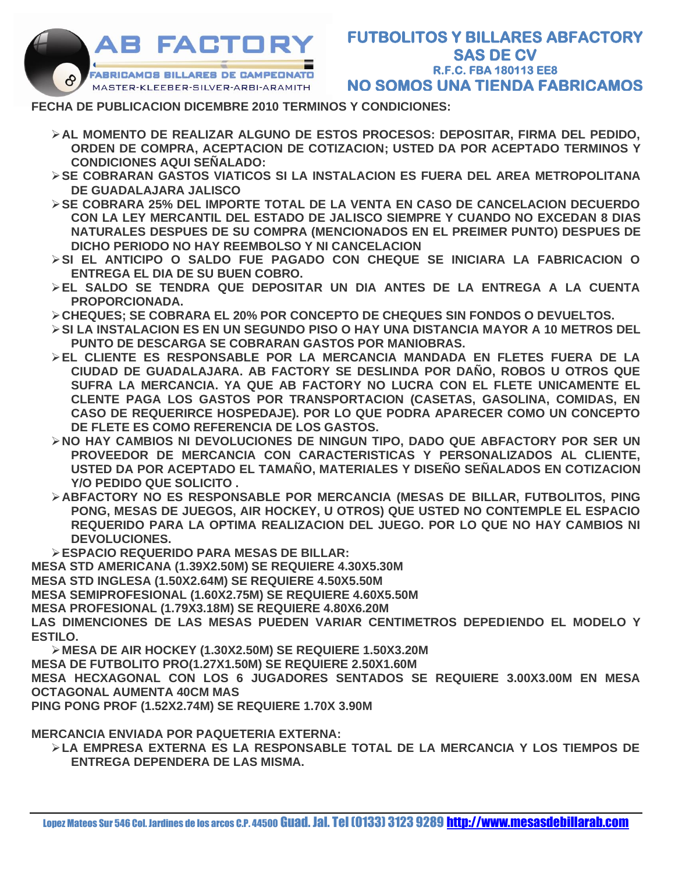

## **FECHA DE PUBLICACION DICEMBRE 2010 TERMINOS Y CONDICIONES:**

- ➢**AL MOMENTO DE REALIZAR ALGUNO DE ESTOS PROCESOS: DEPOSITAR, FIRMA DEL PEDIDO, ORDEN DE COMPRA, ACEPTACION DE COTIZACION; USTED DA POR ACEPTADO TERMINOS Y CONDICIONES AQUI SEÑALADO:**
- ➢**SE COBRARAN GASTOS VIATICOS SI LA INSTALACION ES FUERA DEL AREA METROPOLITANA DE GUADALAJARA JALISCO**
- ➢**SE COBRARA 25% DEL IMPORTE TOTAL DE LA VENTA EN CASO DE CANCELACION DECUERDO CON LA LEY MERCANTIL DEL ESTADO DE JALISCO SIEMPRE Y CUANDO NO EXCEDAN 8 DIAS NATURALES DESPUES DE SU COMPRA (MENCIONADOS EN EL PREIMER PUNTO) DESPUES DE DICHO PERIODO NO HAY REEMBOLSO Y NI CANCELACION**
- ➢**SI EL ANTICIPO O SALDO FUE PAGADO CON CHEQUE SE INICIARA LA FABRICACION O ENTREGA EL DIA DE SU BUEN COBRO.**
- ➢**EL SALDO SE TENDRA QUE DEPOSITAR UN DIA ANTES DE LA ENTREGA A LA CUENTA PROPORCIONADA.**
- ➢**CHEQUES; SE COBRARA EL 20% POR CONCEPTO DE CHEQUES SIN FONDOS O DEVUELTOS.**
- ➢**SI LA INSTALACION ES EN UN SEGUNDO PISO O HAY UNA DISTANCIA MAYOR A 10 METROS DEL PUNTO DE DESCARGA SE COBRARAN GASTOS POR MANIOBRAS.**
- ➢**EL CLIENTE ES RESPONSABLE POR LA MERCANCIA MANDADA EN FLETES FUERA DE LA CIUDAD DE GUADALAJARA. AB FACTORY SE DESLINDA POR DAÑO, ROBOS U OTROS QUE SUFRA LA MERCANCIA. YA QUE AB FACTORY NO LUCRA CON EL FLETE UNICAMENTE EL CLENTE PAGA LOS GASTOS POR TRANSPORTACION (CASETAS, GASOLINA, COMIDAS, EN CASO DE REQUERIRCE HOSPEDAJE). POR LO QUE PODRA APARECER COMO UN CONCEPTO DE FLETE ES COMO REFERENCIA DE LOS GASTOS.**
- ➢**NO HAY CAMBIOS NI DEVOLUCIONES DE NINGUN TIPO, DADO QUE ABFACTORY POR SER UN PROVEEDOR DE MERCANCIA CON CARACTERISTICAS Y PERSONALIZADOS AL CLIENTE, USTED DA POR ACEPTADO EL TAMAÑO, MATERIALES Y DISEÑO SEÑALADOS EN COTIZACION Y/O PEDIDO QUE SOLICITO .**
- ➢**ABFACTORY NO ES RESPONSABLE POR MERCANCIA (MESAS DE BILLAR, FUTBOLITOS, PING PONG, MESAS DE JUEGOS, AIR HOCKEY, U OTROS) QUE USTED NO CONTEMPLE EL ESPACIO REQUERIDO PARA LA OPTIMA REALIZACION DEL JUEGO. POR LO QUE NO HAY CAMBIOS NI DEVOLUCIONES.**
- ➢**ESPACIO REQUERIDO PARA MESAS DE BILLAR:**
- **MESA STD AMERICANA (1.39X2.50M) SE REQUIERE 4.30X5.30M**
- **MESA STD INGLESA (1.50X2.64M) SE REQUIERE 4.50X5.50M**
- **MESA SEMIPROFESIONAL (1.60X2.75M) SE REQUIERE 4.60X5.50M**
- **MESA PROFESIONAL (1.79X3.18M) SE REQUIERE 4.80X6.20M**

**LAS DIMENCIONES DE LAS MESAS PUEDEN VARIAR CENTIMETROS DEPEDIENDO EL MODELO Y ESTILO.**

- ➢**MESA DE AIR HOCKEY (1.30X2.50M) SE REQUIERE 1.50X3.20M**
- **MESA DE FUTBOLITO PRO(1.27X1.50M) SE REQUIERE 2.50X1.60M**

**MESA HECXAGONAL CON LOS 6 JUGADORES SENTADOS SE REQUIERE 3.00X3.00M EN MESA OCTAGONAL AUMENTA 40CM MAS**

**PING PONG PROF (1.52X2.74M) SE REQUIERE 1.70X 3.90M**

**MERCANCIA ENVIADA POR PAQUETERIA EXTERNA:**

➢**LA EMPRESA EXTERNA ES LA RESPONSABLE TOTAL DE LA MERCANCIA Y LOS TIEMPOS DE ENTREGA DEPENDERA DE LAS MISMA.**